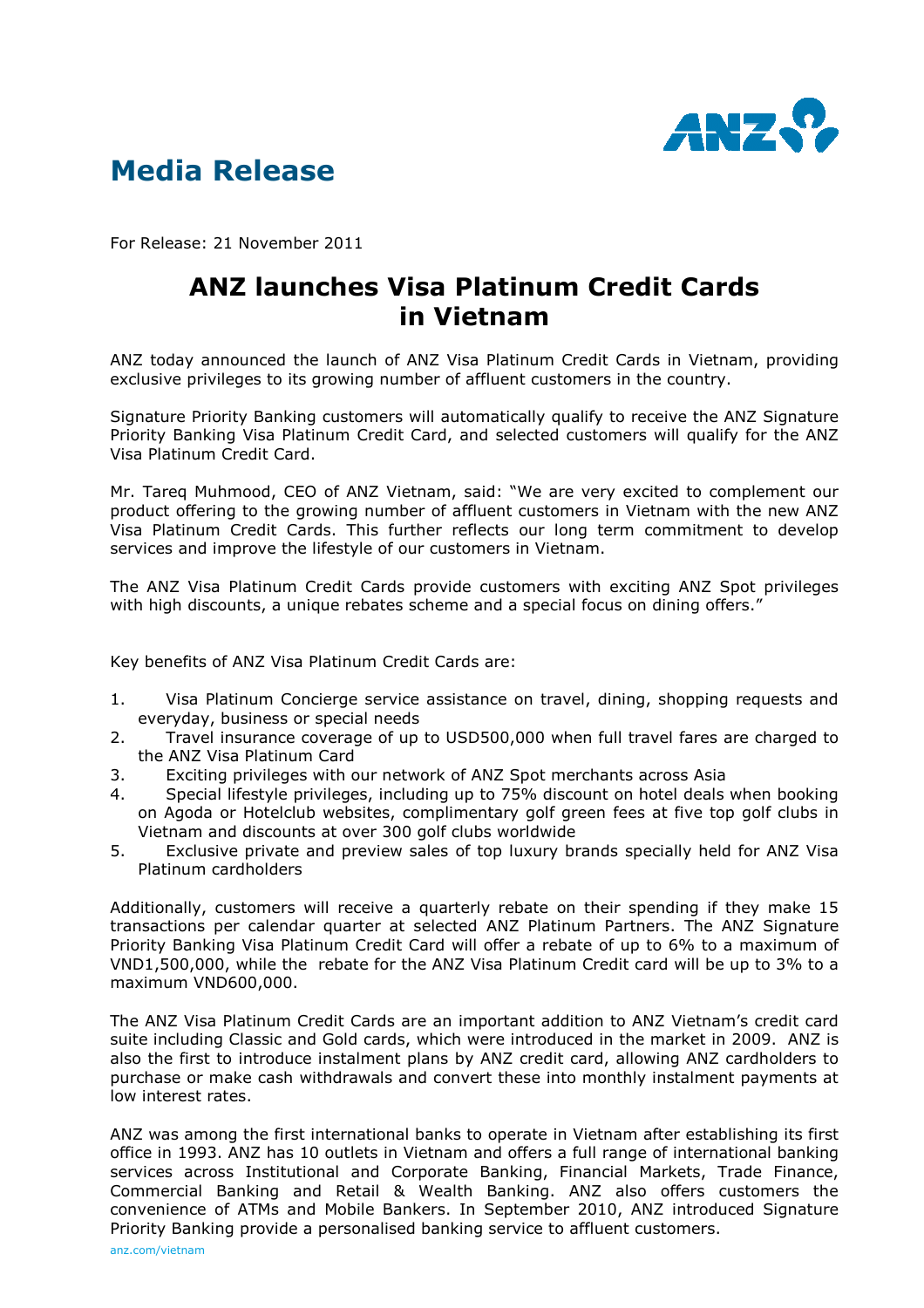

## Media Release

For Release: 21 November 2011

## ANZ launches Visa Platinum Credit Cards in Vietnam

ANZ today announced the launch of ANZ Visa Platinum Credit Cards in Vietnam, providing exclusive privileges to its growing number of affluent customers in the country.

Signature Priority Banking customers will automatically qualify to receive the ANZ Signature Priority Banking Visa Platinum Credit Card, and selected customers will qualify for the ANZ Visa Platinum Credit Card.

Mr. Tareq Muhmood, CEO of ANZ Vietnam, said: "We are very excited to complement our product offering to the growing number of affluent customers in Vietnam with the new ANZ Visa Platinum Credit Cards. This further reflects our long term commitment to develop services and improve the lifestyle of our customers in Vietnam.

The ANZ Visa Platinum Credit Cards provide customers with exciting ANZ Spot privileges with high discounts, a unique rebates scheme and a special focus on dining offers."

Key benefits of ANZ Visa Platinum Credit Cards are:

- 1. Visa Platinum Concierge service assistance on travel, dining, shopping requests and everyday, business or special needs
- 2. Travel insurance coverage of up to USD500,000 when full travel fares are charged to the ANZ Visa Platinum Card
- 3. Exciting privileges with our network of ANZ Spot merchants across Asia
- 4. Special lifestyle privileges, including up to 75% discount on hotel deals when booking on Agoda or Hotelclub websites, complimentary golf green fees at five top golf clubs in Vietnam and discounts at over 300 golf clubs worldwide
- 5. Exclusive private and preview sales of top luxury brands specially held for ANZ Visa Platinum cardholders

Additionally, customers will receive a quarterly rebate on their spending if they make 15 transactions per calendar quarter at selected ANZ Platinum Partners. The ANZ Signature Priority Banking Visa Platinum Credit Card will offer a rebate of up to 6% to a maximum of VND1,500,000, while the rebate for the ANZ Visa Platinum Credit card will be up to 3% to a maximum VND600,000.

The ANZ Visa Platinum Credit Cards are an important addition to ANZ Vietnam's credit card suite including Classic and Gold cards, which were introduced in the market in 2009. ANZ is also the first to introduce instalment plans by ANZ credit card, allowing ANZ cardholders to purchase or make cash withdrawals and convert these into monthly instalment payments at low interest rates.

ANZ was among the first international banks to operate in Vietnam after establishing its first office in 1993. ANZ has 10 outlets in Vietnam and offers a full range of international banking services across Institutional and Corporate Banking, Financial Markets, Trade Finance, Commercial Banking and Retail & Wealth Banking. ANZ also offers customers the convenience of ATMs and Mobile Bankers. In September 2010, ANZ introduced Signature Priority Banking provide a personalised banking service to affluent customers.